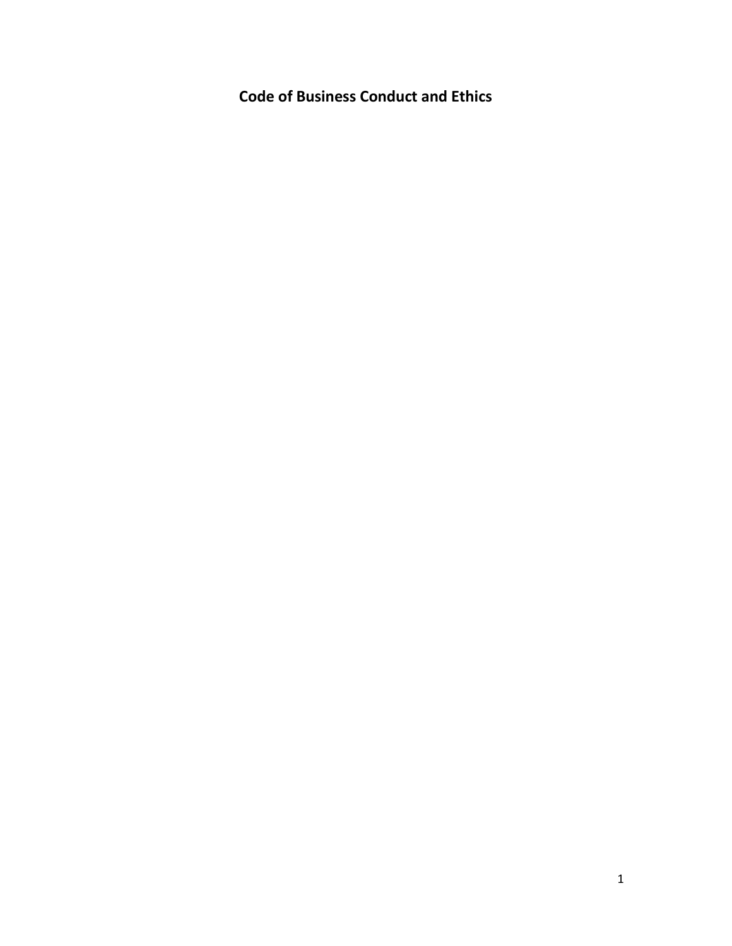**Code of Business Conduct and Ethics**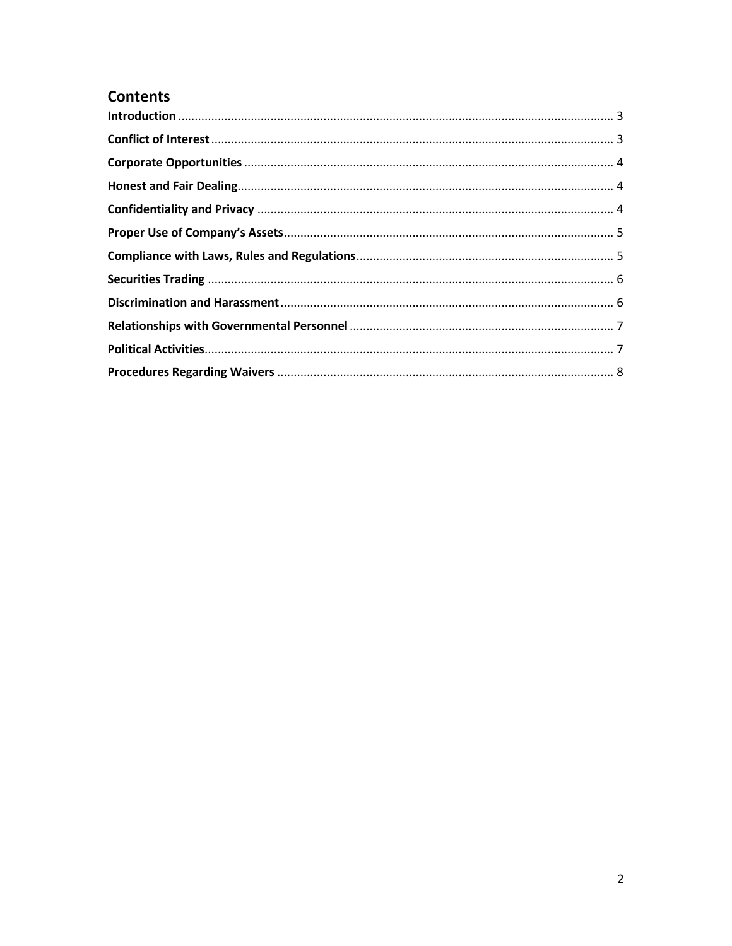# **Contents**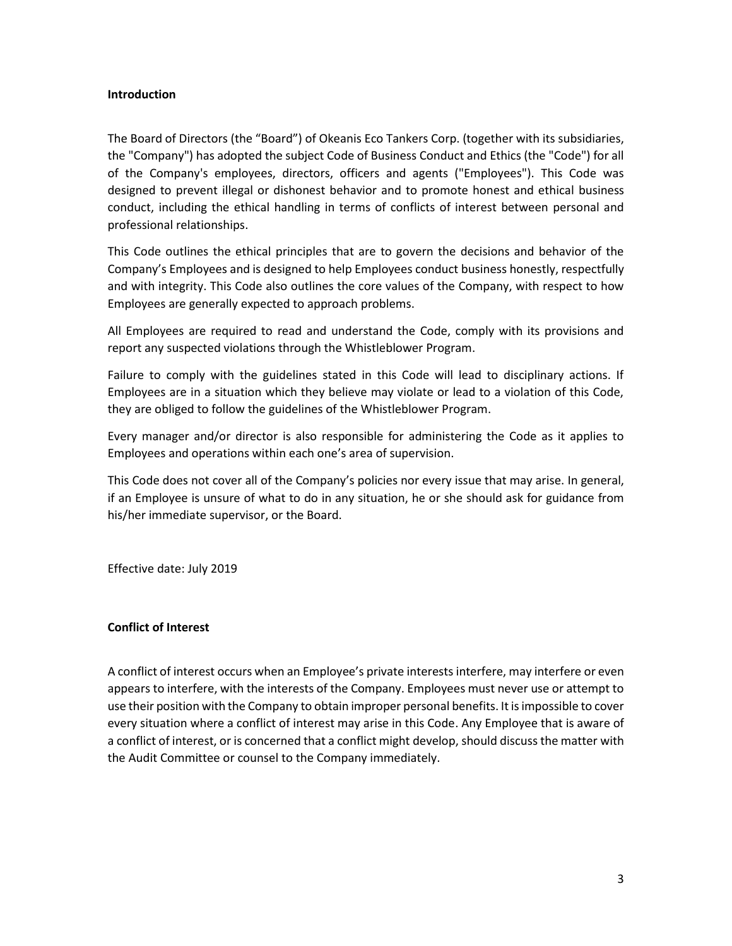#### <span id="page-2-0"></span>**Introduction**

The Board of Directors (the "Board") of Okeanis Eco Tankers Corp. (together with its subsidiaries, the "Company") has adopted the subject Code of Business Conduct and Ethics (the "Code") for all of the Company's employees, directors, officers and agents ("Employees"). This Code was designed to prevent illegal or dishonest behavior and to promote honest and ethical business conduct, including the ethical handling in terms of conflicts of interest between personal and professional relationships.

This Code outlines the ethical principles that are to govern the decisions and behavior of the Company's Employees and is designed to help Employees conduct business honestly, respectfully and with integrity. This Code also outlines the core values of the Company, with respect to how Employees are generally expected to approach problems.

All Employees are required to read and understand the Code, comply with its provisions and report any suspected violations through the Whistleblower Program.

Failure to comply with the guidelines stated in this Code will lead to disciplinary actions. If Employees are in a situation which they believe may violate or lead to a violation of this Code, they are obliged to follow the guidelines of the Whistleblower Program.

Every manager and/or director is also responsible for administering the Code as it applies to Employees and operations within each one's area of supervision.

This Code does not cover all of the Company's policies nor every issue that may arise. In general, if an Employee is unsure of what to do in any situation, he or she should ask for guidance from his/her immediate supervisor, or the Board.

Effective date: July 2019

# <span id="page-2-1"></span>**Conflict of Interest**

A conflict of interest occurs when an Employee's private interests interfere, may interfere or even appears to interfere, with the interests of the Company. Employees must never use or attempt to use their position with the Company to obtain improper personal benefits. It is impossible to cover every situation where a conflict of interest may arise in this Code. Any Employee that is aware of a conflict of interest, or is concerned that a conflict might develop, should discuss the matter with the Audit Committee or counsel to the Company immediately.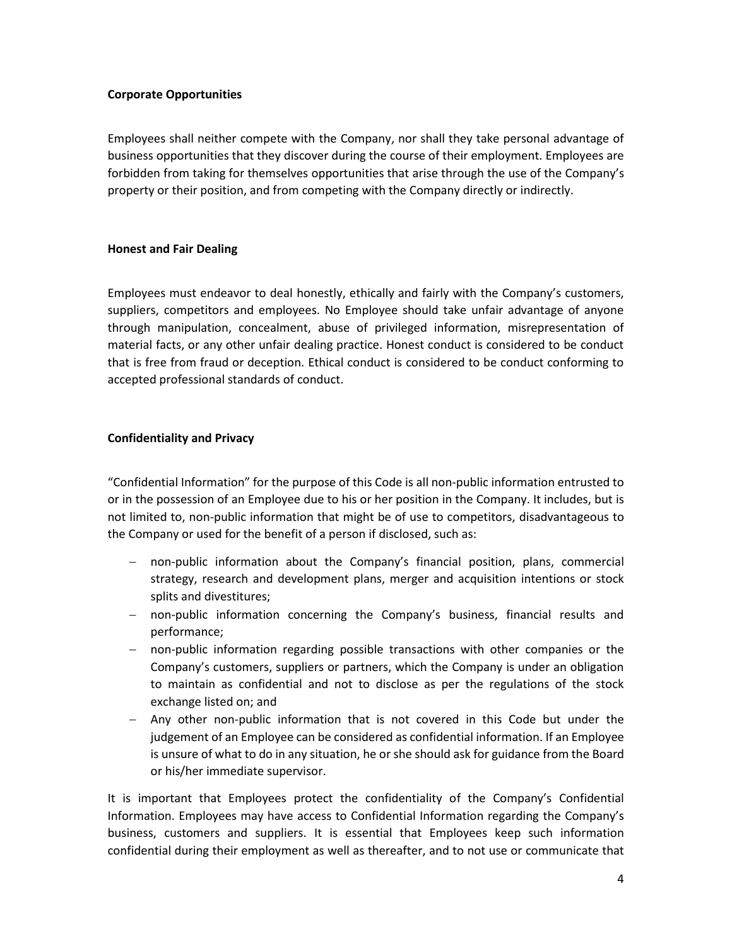# <span id="page-3-0"></span>**Corporate Opportunities**

Employees shall neither compete with the Company, nor shall they take personal advantage of business opportunities that they discover during the course of their employment. Employees are forbidden from taking for themselves opportunities that arise through the use of the Company's property or their position, and from competing with the Company directly or indirectly.

#### <span id="page-3-1"></span>**Honest and Fair Dealing**

Employees must endeavor to deal honestly, ethically and fairly with the Company's customers, suppliers, competitors and employees. No Employee should take unfair advantage of anyone through manipulation, concealment, abuse of privileged information, misrepresentation of material facts, or any other unfair dealing practice. Honest conduct is considered to be conduct that is free from fraud or deception. Ethical conduct is considered to be conduct conforming to accepted professional standards of conduct.

#### <span id="page-3-2"></span>**Confidentiality and Privacy**

"Confidential Information" for the purpose of this Code is all non-public information entrusted to or in the possession of an Employee due to his or her position in the Company. It includes, but is not limited to, non-public information that might be of use to competitors, disadvantageous to the Company or used for the benefit of a person if disclosed, such as:

- non-public information about the Company's financial position, plans, commercial strategy, research and development plans, merger and acquisition intentions or stock splits and divestitures;
- non-public information concerning the Company's business, financial results and performance;
- non-public information regarding possible transactions with other companies or the Company's customers, suppliers or partners, which the Company is under an obligation to maintain as confidential and not to disclose as per the regulations of the stock exchange listed on; and
- Any other non-public information that is not covered in this Code but under the judgement of an Employee can be considered as confidential information. If an Employee is unsure of what to do in any situation, he or she should ask for guidance from the Board or his/her immediate supervisor.

It is important that Employees protect the confidentiality of the Company's Confidential Information. Employees may have access to Confidential Information regarding the Company's business, customers and suppliers. It is essential that Employees keep such information confidential during their employment as well as thereafter, and to not use or communicate that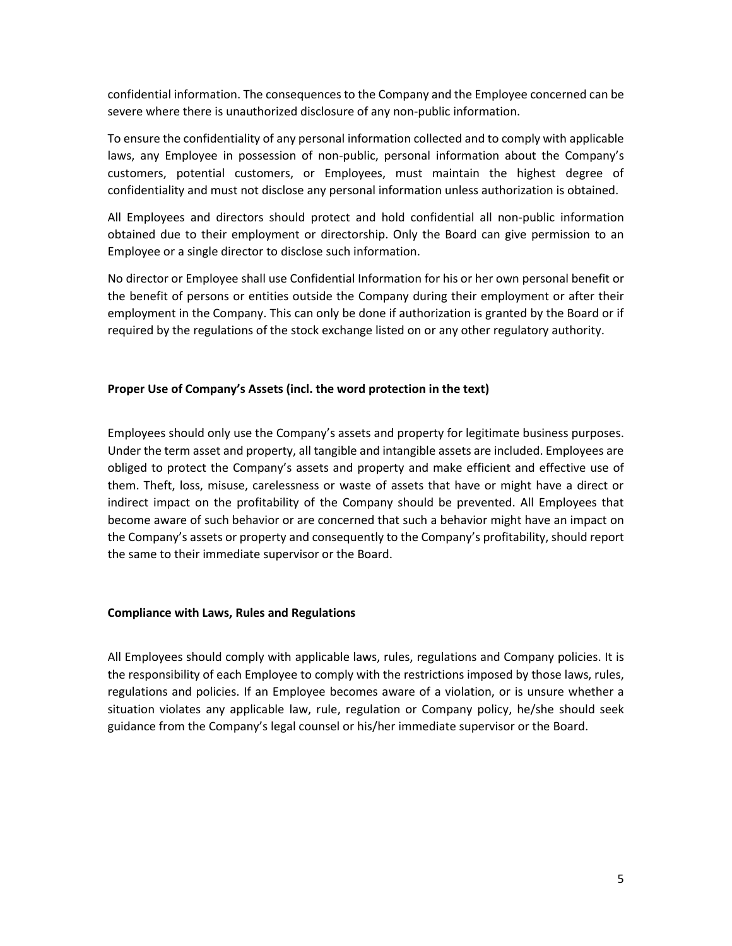confidential information. The consequences to the Company and the Employee concerned can be severe where there is unauthorized disclosure of any non-public information.

To ensure the confidentiality of any personal information collected and to comply with applicable laws, any Employee in possession of non-public, personal information about the Company's customers, potential customers, or Employees, must maintain the highest degree of confidentiality and must not disclose any personal information unless authorization is obtained.

All Employees and directors should protect and hold confidential all non-public information obtained due to their employment or directorship. Only the Board can give permission to an Employee or a single director to disclose such information.

No director or Employee shall use Confidential Information for his or her own personal benefit or the benefit of persons or entities outside the Company during their employment or after their employment in the Company. This can only be done if authorization is granted by the Board or if required by the regulations of the stock exchange listed on or any other regulatory authority.

# <span id="page-4-0"></span>**Proper Use of Company's Assets (incl. the word protection in the text)**

Employees should only use the Company's assets and property for legitimate business purposes. Under the term asset and property, all tangible and intangible assets are included. Employees are obliged to protect the Company's assets and property and make efficient and effective use of them. Theft, loss, misuse, carelessness or waste of assets that have or might have a direct or indirect impact on the profitability of the Company should be prevented. All Employees that become aware of such behavior or are concerned that such a behavior might have an impact on the Company's assets or property and consequently to the Company's profitability, should report the same to their immediate supervisor or the Board.

# <span id="page-4-1"></span>**Compliance with Laws, Rules and Regulations**

All Employees should comply with applicable laws, rules, regulations and Company policies. It is the responsibility of each Employee to comply with the restrictions imposed by those laws, rules, regulations and policies. If an Employee becomes aware of a violation, or is unsure whether a situation violates any applicable law, rule, regulation or Company policy, he/she should seek guidance from the Company's legal counsel or his/her immediate supervisor or the Board.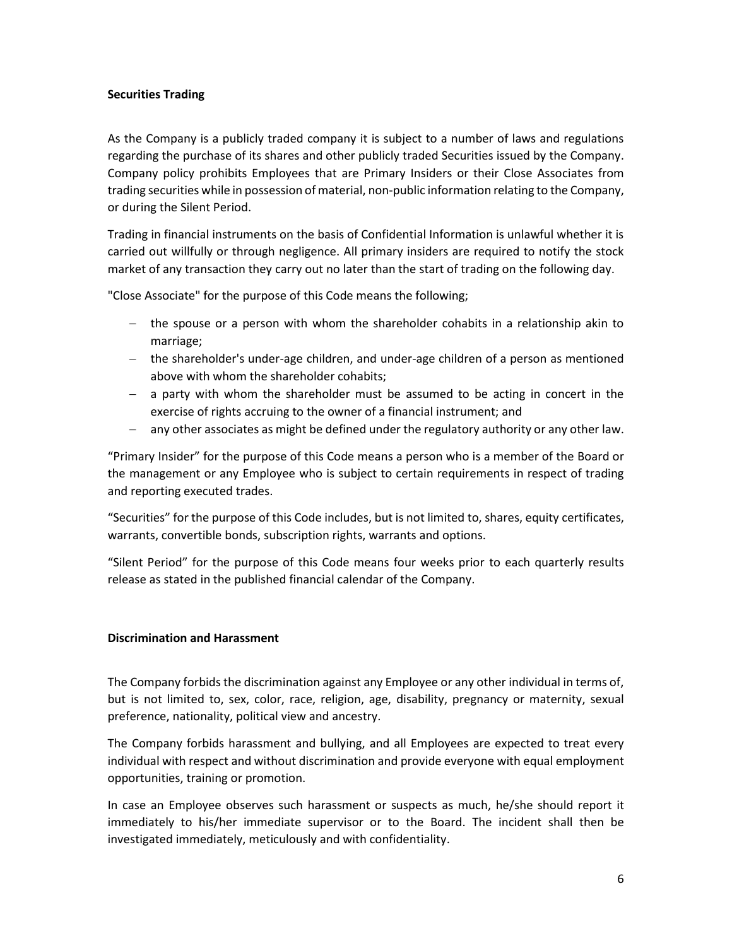# <span id="page-5-0"></span>**Securities Trading**

As the Company is a publicly traded company it is subject to a number of laws and regulations regarding the purchase of its shares and other publicly traded Securities issued by the Company. Company policy prohibits Employees that are Primary Insiders or their Close Associates from trading securities while in possession of material, non-public information relating to the Company, or during the Silent Period.

Trading in financial instruments on the basis of Confidential Information is unlawful whether it is carried out willfully or through negligence. All primary insiders are required to notify the stock market of any transaction they carry out no later than the start of trading on the following day.

"Close Associate" for the purpose of this Code means the following;

- $-$  the spouse or a person with whom the shareholder cohabits in a relationship akin to marriage;
- the shareholder's under-age children, and under-age children of a person as mentioned above with whom the shareholder cohabits;
- a party with whom the shareholder must be assumed to be acting in concert in the exercise of rights accruing to the owner of a financial instrument; and
- any other associates as might be defined under the regulatory authority or any other law.

"Primary Insider" for the purpose of this Code means a person who is a member of the Board or the management or any Employee who is subject to certain requirements in respect of trading and reporting executed trades.

"Securities" for the purpose of this Code includes, but is not limited to, shares, equity certificates, warrants, convertible bonds, subscription rights, warrants and options.

"Silent Period" for the purpose of this Code means four weeks prior to each quarterly results release as stated in the published financial calendar of the Company.

# <span id="page-5-1"></span>**Discrimination and Harassment**

The Company forbids the discrimination against any Employee or any other individual in terms of, but is not limited to, sex, color, race, religion, age, disability, pregnancy or maternity, sexual preference, nationality, political view and ancestry.

The Company forbids harassment and bullying, and all Employees are expected to treat every individual with respect and without discrimination and provide everyone with equal employment opportunities, training or promotion.

In case an Employee observes such harassment or suspects as much, he/she should report it immediately to his/her immediate supervisor or to the Board. The incident shall then be investigated immediately, meticulously and with confidentiality.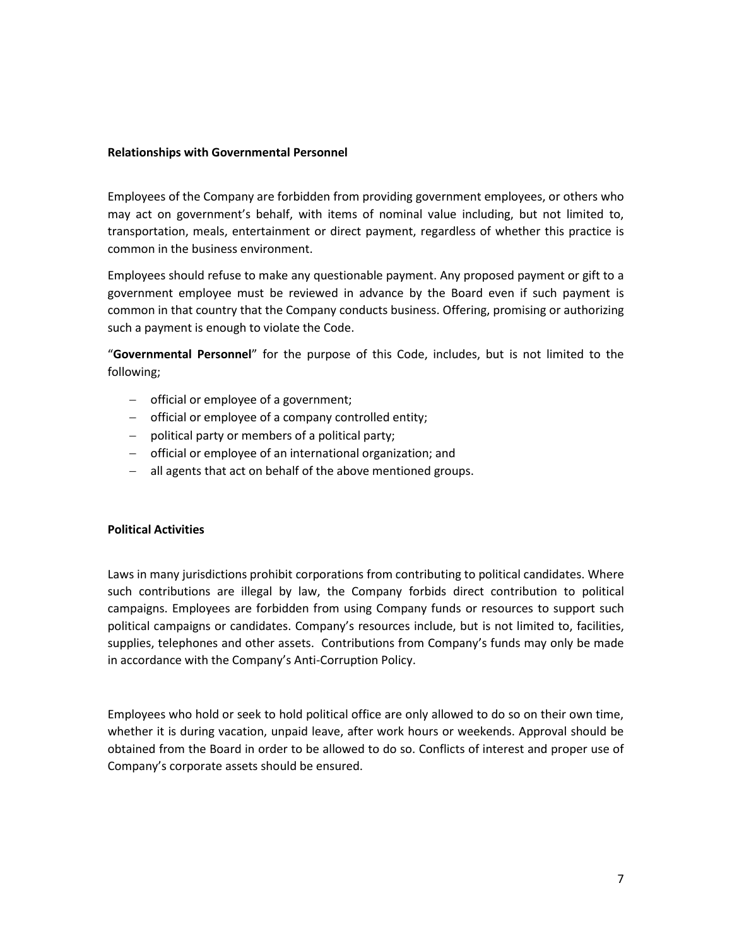#### <span id="page-6-0"></span>**Relationships with Governmental Personnel**

Employees of the Company are forbidden from providing government employees, or others who may act on government's behalf, with items of nominal value including, but not limited to, transportation, meals, entertainment or direct payment, regardless of whether this practice is common in the business environment.

Employees should refuse to make any questionable payment. Any proposed payment or gift to a government employee must be reviewed in advance by the Board even if such payment is common in that country that the Company conducts business. Offering, promising or authorizing such a payment is enough to violate the Code.

"**Governmental Personnel**" for the purpose of this Code, includes, but is not limited to the following;

- $-$  official or employee of a government;
- official or employee of a company controlled entity;
- $-$  political party or members of a political party;
- official or employee of an international organization; and
- all agents that act on behalf of the above mentioned groups.

# <span id="page-6-1"></span>**Political Activities**

Laws in many jurisdictions prohibit corporations from contributing to political candidates. Where such contributions are illegal by law, the Company forbids direct contribution to political campaigns. Employees are forbidden from using Company funds or resources to support such political campaigns or candidates. Company's resources include, but is not limited to, facilities, supplies, telephones and other assets. Contributions from Company's funds may only be made in accordance with the Company's Anti-Corruption Policy.

Employees who hold or seek to hold political office are only allowed to do so on their own time, whether it is during vacation, unpaid leave, after work hours or weekends. Approval should be obtained from the Board in order to be allowed to do so. Conflicts of interest and proper use of Company's corporate assets should be ensured.